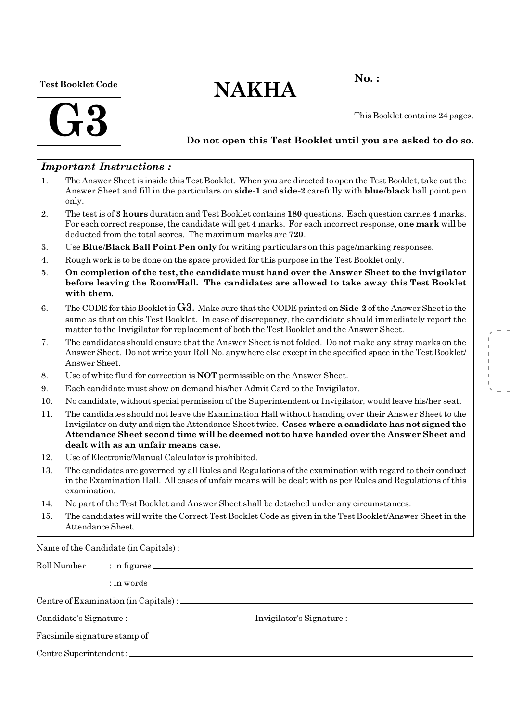#### Test Booklet Code

# $NAKHA$ <sup>No.:</sup>



This Booklet contains 24 pages.

## Do not open this Test Booklet until you are asked to do so.

## Important Instructions :

- 1. The Answer Sheet is inside this Test Booklet. When you are directed to open the Test Booklet, take out the Answer Sheet and fill in the particulars on side-1 and side-2 carefully with blue/black ball point pen only.
- 2. The test is of 3 hours duration and Test Booklet contains 180 questions. Each question carries 4 marks. For each correct response, the candidate will get 4 marks. For each incorrect response, one mark will be deducted from the total scores. The maximum marks are 720.
- 3. Use Blue/Black Ball Point Pen only for writing particulars on this page/marking responses.
- 4. Rough work is to be done on the space provided for this purpose in the Test Booklet only.
- 5. On completion of the test, the candidate must hand over the Answer Sheet to the invigilator before leaving the Room/Hall. The candidates are allowed to take away this Test Booklet with them.
- 6. The CODE for this Booklet is  $G3$ . Make sure that the CODE printed on  $Side-2$  of the Answer Sheet is the same as that on this Test Booklet. In case of discrepancy, the candidate should immediately report the matter to the Invigilator for replacement of both the Test Booklet and the Answer Sheet.
- 7. The candidates should ensure that the Answer Sheet is not folded. Do not make any stray marks on the Answer Sheet. Do not write your Roll No. anywhere else except in the specified space in the Test Booklet/ Answer Sheet.
- 8. Use of white fluid for correction is NOT permissible on the Answer Sheet.
- 9. Each candidate must show on demand his/her Admit Card to the Invigilator.
- 10. No candidate, without special permission of the Superintendent or Invigilator, would leave his/her seat.
- 11. The candidates should not leave the Examination Hall without handing over their Answer Sheet to the Invigilator on duty and sign the Attendance Sheet twice. Cases where a candidate has not signed the Attendance Sheet second time will be deemed not to have handed over the Answer Sheet and dealt with as an unfair means case.
- 12. Use of Electronic/Manual Calculator is prohibited.
- 13. The candidates are governed by all Rules and Regulations of the examination with regard to their conduct in the Examination Hall. All cases of unfair means will be dealt with as per Rules and Regulations of this examination.
- 14. No part of the Test Booklet and Answer Sheet shall be detached under any circumstances.
- 15. The candidates will write the Correct Test Booklet Code as given in the Test Booklet/Answer Sheet in the Attendance Sheet.

Name of the Candidate (in Capitals) :

| Roll Number                  |  |  |  |  |  |
|------------------------------|--|--|--|--|--|
|                              |  |  |  |  |  |
|                              |  |  |  |  |  |
|                              |  |  |  |  |  |
| Facsimile signature stamp of |  |  |  |  |  |
|                              |  |  |  |  |  |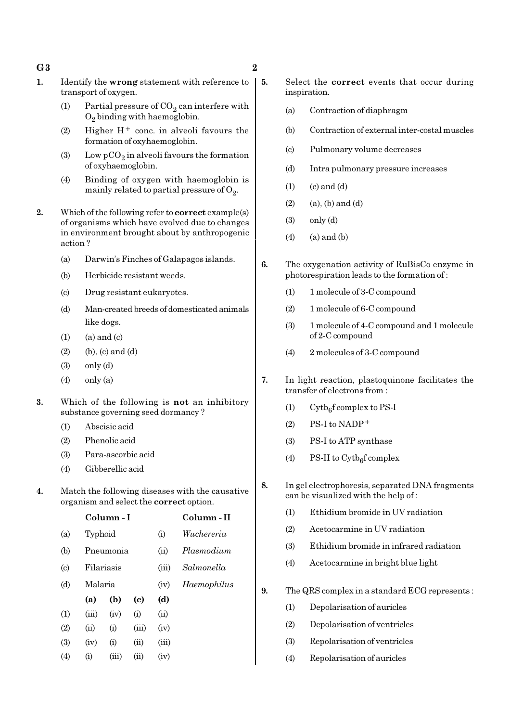- $\mathbf{G3}$  and  $\mathbf{G3}$
- 1. Identify the wrong statement with reference to transport of oxygen.
	- (1) Partial pressure of  $CO_2$  can interfere with  $O_2$  binding with haemoglobin.
	- (2) Higher  $H^+$  conc. in alveoli favours the formation of oxyhaemoglobin.
	- (3) Low  $pCO_2$  in alveoli favours the formation of oxyhaemoglobin.
	- (4) Binding of oxygen with haemoglobin is mainly related to partial pressure of  $\mathrm{O}_2$ .
- 2. Which of the following refer to **correct** example(s) of organisms which have evolved due to changes in environment brought about by anthropogenic action ?
	- (a) Darwin's Finches of Galapagos islands.
	- (b) Herbicide resistant weeds.
	- (c) Drug resistant eukaryotes.
	- (d) Man-created breeds of domesticated animals like dogs.
	- $(1)$   $(a)$  and  $(c)$
	- (2) (b), (c) and (d)
	- $(3)$  only  $(d)$
	- (4) only (a)
- 3. Which of the following is not an inhibitory substance governing seed dormancy ?
	- (1) Abscisic acid
	- (2) Phenolic acid
	- (3) Para-ascorbic acid
	- (4) Gibberellic acid
- 4. Match the following diseases with the causative organism and select the correct option.

|                            |         | Column - I | Column - II                 |       |             |
|----------------------------|---------|------------|-----------------------------|-------|-------------|
| (a)                        | Typhoid |            |                             | (i)   | Wuchereria  |
| (b)                        |         | Pneumonia  |                             | (ii)  | Plasmodium  |
| $\left( \mathrm{c}\right)$ |         | Filariasis |                             | (iii) | Salmonella  |
| (d)                        | Malaria |            |                             | (iv)  | Haemophilus |
|                            | (a)     | (b)        | $\left( \mathrm{c} \right)$ | (d)   |             |
| $\left( 1\right)$          | (iii)   | (iv)       | (i)                         | (ii)  |             |
| (2)                        | (ii)    | (i)        | (iii)                       | (iv)  |             |
| (3)                        | (iv)    | (i)        | (ii)                        | (iii) |             |
| $\left( 4\right)$          | (i)     | (iii)      | (ii)                        | (iv)  |             |

- 5. Select the correct events that occur during inspiration.
	- (a) Contraction of diaphragm
	- (b) Contraction of external inter-costal muscles
	- (c) Pulmonary volume decreases
	- (d) Intra pulmonary pressure increases
	- $(1)$   $(c)$  and  $(d)$
	- $(2)$   $(a)$ ,  $(b)$  and  $(d)$
	- (3) only (d)
	- $(4)$  (a) and  $(b)$
	- 6. The oxygenation activity of RuBisCo enzyme in photorespiration leads to the formation of :
		- (1) 1 molecule of 3-C compound
		- (2) 1 molecule of 6-C compound
		- (3) 1 molecule of 4-C compound and 1 molecule of 2-C compound
		- (4) 2 molecules of 3-C compound
- 7. In light reaction, plastoquinone facilitates the transfer of electrons from :
	- (1) Cytb<sub>6</sub>f complex to PS-I
	- $(2)$  PS-I to NADP<sup>+</sup>
	- (3) PS-I to ATP synthase
	- (4) PS-II to  $\text{Cytb}_6\text{f}$  complex
- 8. In gel electrophoresis, separated DNA fragments can be visualized with the help of :
	- (1) Ethidium bromide in UV radiation
	- (2) Acetocarmine in UV radiation
	- (3) Ethidium bromide in infrared radiation
	- (4) Acetocarmine in bright blue light
- 9. The QRS complex in a standard ECG represents :
	- (1) Depolarisation of auricles
	- (2) Depolarisation of ventricles
	- (3) Repolarisation of ventricles
	- (4) Repolarisation of auricles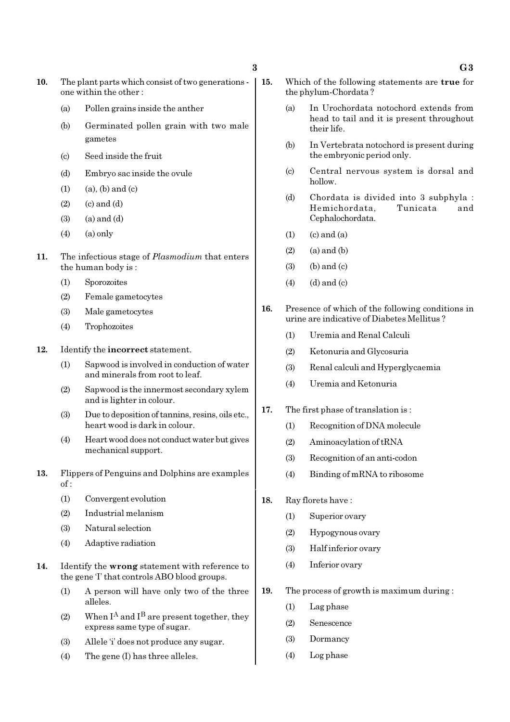- 10. The plant parts which consist of two generations one within the other :
	- (a) Pollen grains inside the anther
	- (b) Germinated pollen grain with two male gametes
	- (c) Seed inside the fruit
	- (d) Embryo sac inside the ovule
	- $(1)$   $(a)$ ,  $(b)$  and  $(c)$
	- $(2)$   $(c)$  and  $(d)$
	- $(3)$   $(a)$  and  $(d)$
	- $(4)$   $(a)$  only
- 11. The infectious stage of *Plasmodium* that enters the human body is :
	- (1) Sporozoites
	- (2) Female gametocytes
	- (3) Male gametocytes
	- (4) Trophozoites
- 12. Identify the incorrect statement.
	- (1) Sapwood is involved in conduction of water and minerals from root to leaf.
	- (2) Sapwood is the innermost secondary xylem and is lighter in colour.
	- (3) Due to deposition of tannins, resins, oils etc., heart wood is dark in colour.
	- (4) Heart wood does not conduct water but gives mechanical support.
- 13. Flippers of Penguins and Dolphins are examples of :
	- (1) Convergent evolution
	- (2) Industrial melanism
	- (3) Natural selection
	- (4) Adaptive radiation
- 14. Identify the wrong statement with reference to the gene 'I' that controls ABO blood groups.
	- (1) A person will have only two of the three alleles.
	- (2) When  $I^A$  and  $I^B$  are present together, they express same type of sugar.
	- (3) Allele 'i' does not produce any sugar.
	- (4) The gene (I) has three alleles.
- 15. Which of the following statements are true for the phylum-Chordata ?
	- (a) In Urochordata notochord extends from head to tail and it is present throughout their life.
	- (b) In Vertebrata notochord is present during the embryonic period only.
	- (c) Central nervous system is dorsal and hollow.
	- (d) Chordata is divided into 3 subphyla : Hemichordata, Tunicata and Cephalochordata.
	- $(1)$   $(c)$  and  $(a)$
	- $(2)$  (a) and (b)
	- $(3)$  (b) and  $(c)$
	- $(4)$   $(d)$  and  $(c)$
- 16. Presence of which of the following conditions in urine are indicative of Diabetes Mellitus ?
	- (1) Uremia and Renal Calculi
	- (2) Ketonuria and Glycosuria
	- (3) Renal calculi and Hyperglycaemia
	- (4) Uremia and Ketonuria
- 17. The first phase of translation is :
	- (1) Recognition of DNA molecule
	- (2) Aminoacylation of tRNA
	- (3) Recognition of an anti-codon
	- (4) Binding of mRNA to ribosome
- 18. Ray florets have :
	- (1) Superior ovary
	- (2) Hypogynous ovary
	- (3) Half inferior ovary
	- (4) Inferior ovary
- 19. The process of growth is maximum during :
	- (1) Lag phase
	- (2) Senescence
	- (3) Dormancy
	- (4) Log phase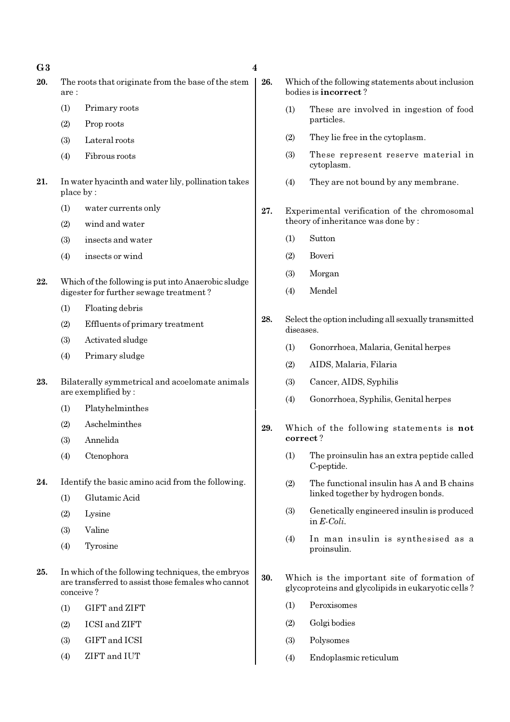$\overline{G3}$  4

- 20. The roots that originate from the base of the stem are :
	- (1) Primary roots
	- (2) Prop roots
	- (3) Lateral roots
	- (4) Fibrous roots
- 21. In water hyacinth and water lily, pollination takes place by :
	- (1) water currents only
	- (2) wind and water
	- (3) insects and water
	- (4) insects or wind
- 22. Which of the following is put into Anaerobic sludge digester for further sewage treatment ?
	- (1) Floating debris
	- (2) Effluents of primary treatment
	- (3) Activated sludge
	- (4) Primary sludge
- 23. Bilaterally symmetrical and acoelomate animals are exemplified by :
	- (1) Platyhelminthes
	- (2) Aschelminthes
	- (3) Annelida
	- (4) Ctenophora
- 24. Identify the basic amino acid from the following.
	- (1) Glutamic Acid
	- (2) Lysine
	- (3) Valine
	- (4) Tyrosine
- 25. In which of the following techniques, the embryos are transferred to assist those females who cannot conceive ?
	- (1) GIFT and ZIFT
	- (2) ICSI and ZIFT
	- (3) GIFT and ICSI
	- (4) ZIFT and IUT
- 26. Which of the following statements about inclusion bodies is incorrect ?
	- (1) These are involved in ingestion of food particles.
	- (2) They lie free in the cytoplasm.
	- (3) These represent reserve material in cytoplasm.
	- (4) They are not bound by any membrane.
- 27. Experimental verification of the chromosomal theory of inheritance was done by :
	- (1) Sutton
	- (2) Boveri
	- (3) Morgan
	- (4) Mendel
- 28. Select the option including all sexually transmitted diseases.
	- (1) Gonorrhoea, Malaria, Genital herpes
	- (2) AIDS, Malaria, Filaria
	- (3) Cancer, AIDS, Syphilis
	- (4) Gonorrhoea, Syphilis, Genital herpes
- 29. Which of the following statements is not correct ?
	- (1) The proinsulin has an extra peptide called C-peptide.
	- (2) The functional insulin has A and B chains linked together by hydrogen bonds.
	- (3) Genetically engineered insulin is produced in E-Coli.
	- (4) In man insulin is synthesised as a proinsulin.
- 30. Which is the important site of formation of glycoproteins and glycolipids in eukaryotic cells ?
	- (1) Peroxisomes
	- (2) Golgi bodies
	- (3) Polysomes
	- (4) Endoplasmic reticulum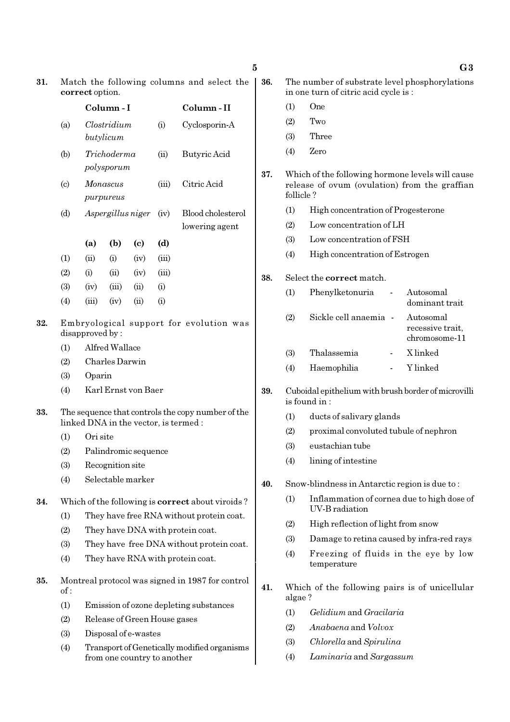| 31. | Match the following columns and select the<br>correct option. |                      |                           |                              |       |                                                                                            | 36. | The number of substrate level phosphorylations<br>in one turn of citric acid cycle is: |                                                                                                   |                                                |  |
|-----|---------------------------------------------------------------|----------------------|---------------------------|------------------------------|-------|--------------------------------------------------------------------------------------------|-----|----------------------------------------------------------------------------------------|---------------------------------------------------------------------------------------------------|------------------------------------------------|--|
|     |                                                               |                      | Column-I                  |                              |       | Column-II                                                                                  |     | (1)                                                                                    | One                                                                                               |                                                |  |
|     | (a)                                                           |                      | Clostridium               |                              | (i)   | Cyclosporin-A                                                                              |     | (2)                                                                                    | Two                                                                                               |                                                |  |
|     |                                                               |                      | butylicum                 |                              |       |                                                                                            |     | (3)                                                                                    | Three                                                                                             |                                                |  |
|     | (b)                                                           |                      | Trichoderma<br>polysporum |                              | (ii)  | <b>Butyric Acid</b>                                                                        |     | (4)                                                                                    | Zero                                                                                              |                                                |  |
|     | $\left( \mathrm{c} \right)$                                   |                      | Monascus<br>purpureus     |                              | (iii) | Citric Acid                                                                                | 37. | follicle?                                                                              | Which of the following hormone levels will cause<br>release of ovum (ovulation) from the graffian |                                                |  |
|     | (d)                                                           |                      | Aspergillus niger         |                              | (iv)  | Blood cholesterol                                                                          |     | (1)                                                                                    | High concentration of Progesterone                                                                |                                                |  |
|     |                                                               |                      |                           |                              |       | lowering agent                                                                             |     | (2)                                                                                    | Low concentration of LH                                                                           |                                                |  |
|     |                                                               | (a)                  | (b)                       | $\left( \mathrm{c}\right)$   | (d)   |                                                                                            |     | (3)                                                                                    | Low concentration of FSH                                                                          |                                                |  |
|     | (1)                                                           | (ii)                 | (i)                       | (iv)                         | (iii) |                                                                                            |     | (4)                                                                                    | High concentration of Estrogen                                                                    |                                                |  |
|     | (2)                                                           | (i)                  | (ii)                      | (iv)                         | (iii) |                                                                                            | 38. |                                                                                        | Select the correct match.                                                                         |                                                |  |
|     | (3)                                                           | (iv)                 | (iii)                     | (ii)                         | (i)   |                                                                                            |     |                                                                                        |                                                                                                   |                                                |  |
|     | (4)                                                           | (iii)                | (iv)                      | (ii)                         | (i)   |                                                                                            |     | (1)                                                                                    | Phenylketonuria<br>$\overline{\phantom{a}}$                                                       | Autosomal<br>dominant trait                    |  |
| 32. | Embryological support for evolution was<br>disapproved by:    |                      |                           |                              |       |                                                                                            |     | (2)                                                                                    | Sickle cell anaemia -                                                                             | Autosomal<br>recessive trait,<br>chromosome-11 |  |
|     | (1)                                                           | Alfred Wallace       |                           |                              |       |                                                                                            |     | (3)                                                                                    | Thalassemia                                                                                       | X linked                                       |  |
|     | (2)                                                           | Charles Darwin       |                           |                              |       |                                                                                            |     | (4)                                                                                    | Haemophilia                                                                                       | Y linked                                       |  |
|     | (3)                                                           | Oparin               |                           |                              |       |                                                                                            |     |                                                                                        |                                                                                                   |                                                |  |
|     | (4)                                                           |                      |                           | Karl Ernst von Baer          |       |                                                                                            | 39. |                                                                                        | Cuboidal epithelium with brush border of microvilli<br>is found in:                               |                                                |  |
| 33. |                                                               |                      |                           |                              |       | The sequence that controls the copy number of the<br>linked DNA in the vector, is termed : |     | (1)<br>ducts of salivary glands                                                        |                                                                                                   |                                                |  |
|     | (1)                                                           | Ori site             |                           |                              |       |                                                                                            |     | (2)                                                                                    | proximal convoluted tubule of nephron                                                             |                                                |  |
|     | (2)                                                           |                      |                           | Palindromic sequence         |       |                                                                                            |     | (3)                                                                                    | eustachian tube                                                                                   |                                                |  |
|     | (3)                                                           |                      | Recognition site          |                              |       |                                                                                            |     | (4)                                                                                    | lining of intestine                                                                               |                                                |  |
|     | (4)                                                           |                      |                           | Selectable marker            |       |                                                                                            | 40. |                                                                                        | Snow-blindness in Antarctic region is due to:                                                     |                                                |  |
| 34. |                                                               |                      |                           |                              |       | Which of the following is <b>correct</b> about viroids?                                    |     | (1)                                                                                    | Inflammation of cornea due to high dose of                                                        |                                                |  |
|     | (1)                                                           |                      |                           |                              |       | They have free RNA without protein coat.                                                   |     |                                                                                        | UV-B radiation                                                                                    |                                                |  |
|     | (2)                                                           |                      |                           |                              |       | They have DNA with protein coat.                                                           |     | (2)                                                                                    | High reflection of light from snow                                                                |                                                |  |
|     | (3)                                                           |                      |                           |                              |       | They have free DNA without protein coat.                                                   |     | (3)                                                                                    | Damage to retina caused by infra-red rays                                                         |                                                |  |
|     | (4)                                                           |                      |                           |                              |       | They have RNA with protein coat.                                                           |     | (4)                                                                                    | Freezing of fluids in the eye by low<br>temperature                                               |                                                |  |
| 35. | of:                                                           |                      |                           |                              |       | Montreal protocol was signed in 1987 for control                                           | 41. | algae?                                                                                 | Which of the following pairs is of unicellular                                                    |                                                |  |
|     | (1)                                                           |                      |                           |                              |       | Emission of ozone depleting substances                                                     |     | (1)                                                                                    | Gelidium and Gracilaria                                                                           |                                                |  |
|     | (2)                                                           |                      |                           | Release of Green House gases |       |                                                                                            |     | (2)                                                                                    | Anabaena and Volvox                                                                               |                                                |  |
|     | (3)                                                           | Disposal of e-wastes |                           |                              |       |                                                                                            |     |                                                                                        |                                                                                                   |                                                |  |

(4) Transport of Genetically modified organisms from one country to another

- 39. Cuboidal epithelium with brush border of microvilli is found in :
	- (1) ducts of salivary glands
	- (2) proximal convoluted tubule of nephron
	- (3) eustachian tube
	- (4) lining of intestine
- 40. Snow-blindness in Antarctic region is due to :
	- (1) Inflammation of cornea due to high dose of UV-B radiation
	- (2) High reflection of light from snow
	- (3) Damage to retina caused by infra-red rays
	- (4) Freezing of fluids in the eye by low temperature
- 41. Which of the following pairs is of unicellular algae ?
	- (1) Gelidium and Gracilaria
	- (2) Anabaena and Volvox
	- (3) Chlorella and Spirulina
	- (4) Laminaria and Sargassum

5 G3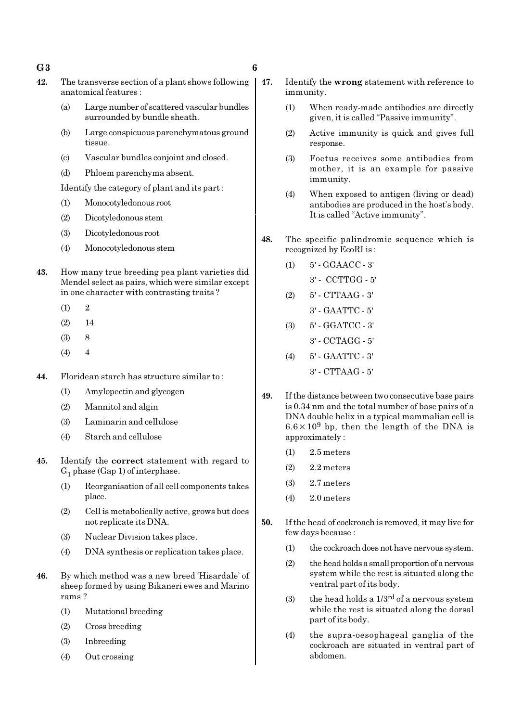#### $\mathbf{G3}$  6

- 42. The transverse section of a plant shows following anatomical features :
	- (a) Large number of scattered vascular bundles surrounded by bundle sheath.
	- (b) Large conspicuous parenchymatous ground tissue.
	- (c) Vascular bundles conjoint and closed.
	- (d) Phloem parenchyma absent.

Identify the category of plant and its part :

- (1) Monocotyledonous root
- (2) Dicotyledonous stem
- (3) Dicotyledonous root
- (4) Monocotyledonous stem
- 43. How many true breeding pea plant varieties did Mendel select as pairs, which were similar except in one character with contrasting traits ?
	- $(1)$  2
	- (2) 14
	- (3) 8
	- $(4)$  4
- 44. Floridean starch has structure similar to :
	- (1) Amylopectin and glycogen
	- (2) Mannitol and algin
	- (3) Laminarin and cellulose
	- (4) Starch and cellulose
- 45. Identify the correct statement with regard to  $G_1$  phase (Gap 1) of interphase.
	- (1) Reorganisation of all cell components takes place.
	- (2) Cell is metabolically active, grows but does not replicate its DNA.
	- (3) Nuclear Division takes place.
	- (4) DNA synthesis or replication takes place.
- 46. By which method was a new breed 'Hisardale' of sheep formed by using Bikaneri ewes and Marino rams ?
	- (1) Mutational breeding
	- (2) Cross breeding
	- (3) Inbreeding
	- (4) Out crossing
- 47. Identify the wrong statement with reference to immunity.
	- (1) When ready-made antibodies are directly given, it is called "Passive immunity".
	- (2) Active immunity is quick and gives full response.
	- (3) Foetus receives some antibodies from mother, it is an example for passive immunity.
	- (4) When exposed to antigen (living or dead) antibodies are produced in the host's body. It is called "Active immunity".
- 48. The specific palindromic sequence which is recognized by EcoRI is :
	- (1) 5' GGAACC 3'
		- 3' CCTTGG 5'
	- (2) 5' CTTAAG 3'
		- 3' GAATTC 5'
	- (3) 5' GGATCC 3'
	- 3' CCTAGG 5'
	- (4) 5' GAATTC 3'
		- 3' CTTAAG 5'
- 49. If the distance between two consecutive base pairs is 0.34 nm and the total number of base pairs of a DNA double helix in a typical mammalian cell is  $6.6 \times 10^9$  bp, then the length of the DNA is approximately :
	- (1) 2.5 meters
	- $(2)$  2.2 meters
	- (3) 2.7 meters
	- (4) 2.0 meters
- 50. If the head of cockroach is removed, it may live for few days because :
	- (1) the cockroach does not have nervous system.
	- (2) the head holds a small proportion of a nervous system while the rest is situated along the ventral part of its body.
	- (3) the head holds a  $1/3^{rd}$  of a nervous system while the rest is situated along the dorsal part of its body.
	- (4) the supra-oesophageal ganglia of the cockroach are situated in ventral part of abdomen.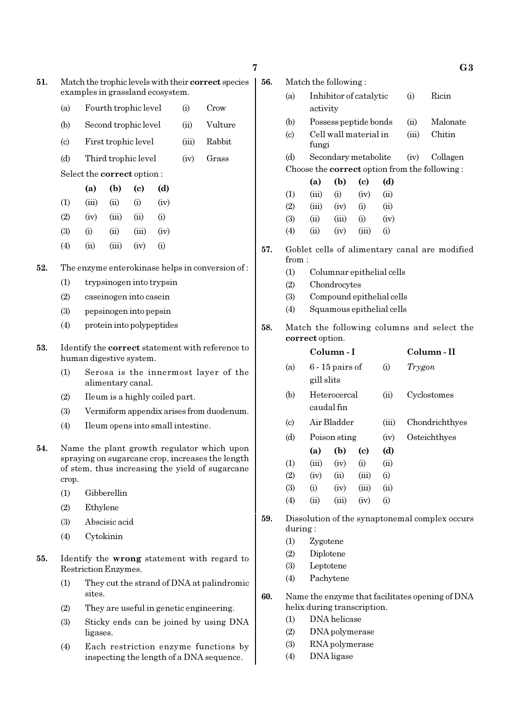| 51. | Match the trophic levels with their correct species |
|-----|-----------------------------------------------------|
|     | examples in grassland ecosystem.                    |

- (a) Fourth trophic level (i) Crow
- (b) Second trophic level (ii) Vulture
- (c) First trophic level (iii) Rabbit
- (d) Third trophic level (iv) Grass

Select the correct option :

|                   | (a)   | (b)   | (c)      | (d)       |
|-------------------|-------|-------|----------|-----------|
| (1)               | (iii) | (ii)  | $\rm(i)$ | (iv)      |
| (2)               | (iv)  | (iii) | (ii)     | $\rm(i)$  |
| (3)               | (i)   | (ii)  | (iii)    | (iv)      |
| $\left( 4\right)$ | (ii)  | (iii) | (iv)     | $\rm (i)$ |

- 52. The enzyme enterokinase helps in conversion of :
	- (1) trypsinogen into trypsin
	- (2) caseinogen into casein
	- (3) pepsinogen into pepsin
	- (4) protein into polypeptides
- 53. Identify the correct statement with reference to human digestive system.
	- (1) Serosa is the innermost layer of the alimentary canal.
	- (2) Ileum is a highly coiled part.
	- (3) Vermiform appendix arises from duodenum.
	- (4) Ileum opens into small intestine.
- 54. Name the plant growth regulator which upon spraying on sugarcane crop, increases the length of stem, thus increasing the yield of sugarcane crop.
	- (1) Gibberellin
	- (2) Ethylene
	- (3) Abscisic acid
	- (4) Cytokinin
- 55. Identify the wrong statement with regard to Restriction Enzymes.
	- (1) They cut the strand of DNA at palindromic sites.
	- (2) They are useful in genetic engineering.
	- (3) Sticky ends can be joined by using DNA ligases.
	- (4) Each restriction enzyme functions by inspecting the length of a DNA sequence.

56. Match the following :

- (a) Inhibitor of catalytic (i) Ricin activity (b) Possess peptide bonds (ii) Malonate
- (c) Cell wall material in (iii) Chitin
- fungi (d) Secondary metabolite (iv) Collagen Choose the correct option from the following :

|                   | (a)   | (b)   | (c)   | (d)      |
|-------------------|-------|-------|-------|----------|
| (1)               | (iii) | (i)   | (iv)  | (ii)     |
| (2)               | (iii) | (iv)  | (i)   | (ii)     |
| (3)               | (ii)  | (iii) | (i)   | (iv)     |
| $\left( 4\right)$ | (ii)  | (iv)  | (iii) | $\rm(i)$ |

- 57. Goblet cells of alimentary canal are modified from :
	- (1) Columnar epithelial cells
	- (2) Chondrocytes
	- (3) Compound epithelial cells
	- (4) Squamous epithelial cells
- 58. Match the following columns and select the correct option.

|                             |            | Column - I        |                             |       | Column-II      |
|-----------------------------|------------|-------------------|-----------------------------|-------|----------------|
| (a)                         |            | $6 - 15$ pairs of |                             | (i)   | Trygon         |
|                             | gill slits |                   |                             |       |                |
| (b)                         |            | Heterocercal      |                             | (ii)  | Cyclostomes    |
|                             |            | caudal fin        |                             |       |                |
| $\left( \mathrm{c} \right)$ |            | Air Bladder       |                             | (iii) | Chondrichthyes |
| (d)                         |            | Poison sting      |                             | (iv)  | Osteichthyes   |
|                             | (a)        | (b)               | $\left( \mathrm{c} \right)$ | (d)   |                |
| (1)                         | (iii)      | (iv)              | (i)                         | (ii)  |                |
| (2)                         | (iv)       | (ii)              | (iii)                       | (i)   |                |
| (3)                         | (i)        | (iv)              | (iii)                       | (ii)  |                |
| (4)                         | (ii)       | (iii)             | (iv)                        | (i)   |                |
|                             |            |                   |                             |       |                |

- 59. Dissolution of the synaptonemal complex occurs during :
	- (1) Zygotene
	- (2) Diplotene
	- (3) Leptotene
	- (4) Pachytene
- 60. Name the enzyme that facilitates opening of DNA helix during transcription.
	- (1) DNA helicase
	- (2) DNA polymerase
	- (3) RNA polymerase
	- (4) DNA ligase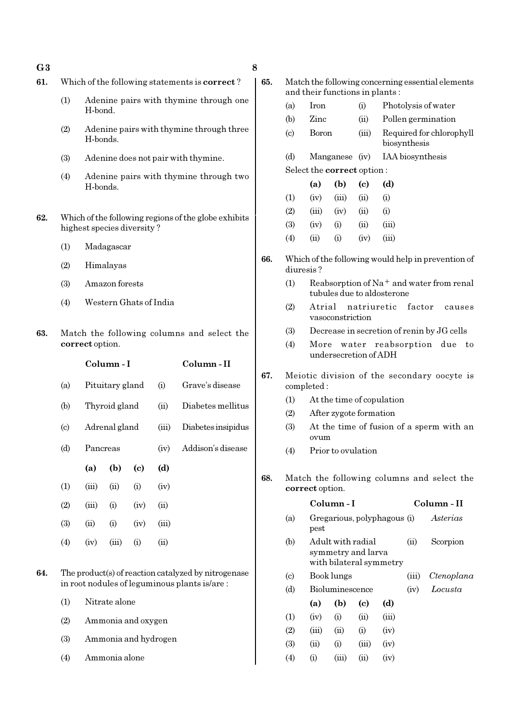#### $\mathbf{G3}$  8

- 
- 61. Which of the following statements is correct ?
	- (1) Adenine pairs with thymine through one H-bond.
	- (2) Adenine pairs with thymine through three H-bonds.
	- (3) Adenine does not pair with thymine.
	- (4) Adenine pairs with thymine through two H-bonds.
- 62. Which of the following regions of the globe exhibits highest species diversity ?
	- (1) Madagascar
	- (2) Himalayas
	- (3) Amazon forests
	- (4) Western Ghats of India
- 63. Match the following columns and select the correct option.

|                            |               | Column - I      |      | Column - II |                    |
|----------------------------|---------------|-----------------|------|-------------|--------------------|
| (a)                        |               | Pituitary gland |      |             | Grave's disease    |
| (b)                        |               | Thyroid gland   |      | (ii)        | Diabetes mellitus  |
| $\left( \mathrm{c}\right)$ | Adrenal gland |                 |      | (iii)       | Diabetes insipidus |
| (d)                        | Pancreas      |                 |      | (iv)        | Addison's disease  |
|                            | (a)           | (b)             | (c)  | (d)         |                    |
| (1)                        | (iii)         | (ii)            | (i)  | (iv)        |                    |
| (2)                        | (iii)         | (i)             | (iv) | (ii)        |                    |
| (3)                        | (ii)          | (i)             | (iv) | (iii)       |                    |
| (4)                        | (iv)          | (iii)           | (i)  | (ii)        |                    |
|                            |               |                 |      |             |                    |

- 64. The product(s) of reaction catalyzed by nitrogenase in root nodules of leguminous plants is/are :
	- (1) Nitrate alone
	- (2) Ammonia and oxygen
	- (3) Ammonia and hydrogen
	- (4) Ammonia alone
- 65. Match the following concerning essential elements and their functions in plants : (a) Iron (i) Photolysis of water
	- (b) Zinc (ii) Pollen germination (c) Boron (iii) Required for chlorophyll biosynthesis (d) Manganese (iv) IAA biosynthesis
	- Select the correct option :
	- (a) (b) (c) (d)  $(1)$   $(iv)$   $(iii)$   $(ii)$   $(i)$ (2) (iii) (iv) (ii) (i) (3) (iv) (i) (ii) (iii) (4) (ii) (i) (iv) (iii)
- 66. Which of the following would help in prevention of diuresis ?
	- (1) Reabsorption of Na<sup>+</sup> and water from renal tubules due to aldosterone
	- (2) Atrial natriuretic factor causes vasoconstriction
	- (3) Decrease in secretion of renin by JG cells
	- (4) More water reabsorption due to undersecretion of ADH
- 67. Meiotic division of the secondary oocyte is completed :
	- (1) At the time of copulation
	- (2) After zygote formation
	- (3) At the time of fusion of a sperm with an ovum
	- (4) Prior to ovulation
- 68. Match the following columns and select the correct option.

|                             |          | Column - I                                                         |            |       | Column - II |            |
|-----------------------------|----------|--------------------------------------------------------------------|------------|-------|-------------|------------|
| (a)                         | pest     | Gregarious, polyphagous (i)                                        |            |       | Asterias    |            |
| (b)                         |          | Adult with radial<br>symmetry and larva<br>with bilateral symmetry |            | (ii)  | Scorpion    |            |
| $\left( \mathrm{c} \right)$ |          | Book lungs                                                         |            |       | (iii)       | Ctenoplana |
| (d)                         |          | Bioluminescence                                                    |            | (iv)  | Locusta     |            |
|                             | (a)      | (b)                                                                | (c)        | (d)   |             |            |
| (1)                         | (iv)     | (i)                                                                | (ii)       | (iii) |             |            |
| (2)                         | (iii)    | (ii)                                                               | (i)        | (iv)  |             |            |
| (3)                         | (ii)     | (i)                                                                | (iii)      | (iv)  |             |            |
| (4)                         | $\rm(i)$ | (iii)                                                              | $\rm (ii)$ | (iv)  |             |            |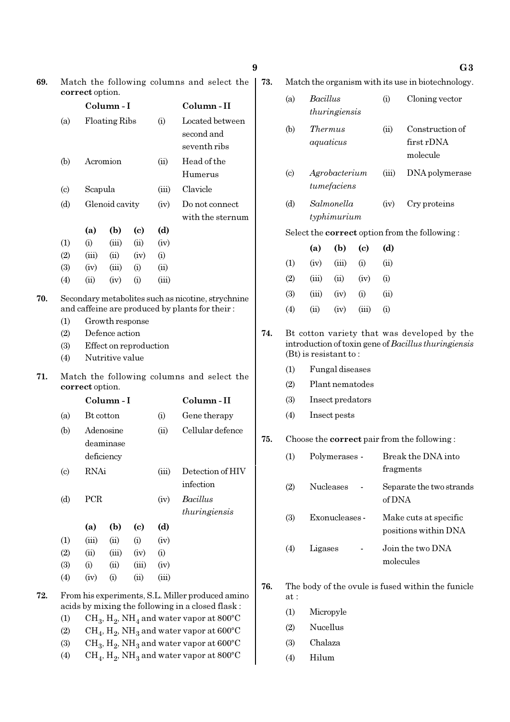|     | correct option.            |                                                               |                        |      |       |                                                                                                      |  |  |
|-----|----------------------------|---------------------------------------------------------------|------------------------|------|-------|------------------------------------------------------------------------------------------------------|--|--|
|     |                            |                                                               | Column-I               |      |       | Column - II                                                                                          |  |  |
|     | (a)                        |                                                               | <b>Floating Ribs</b>   |      | (i)   | Located between<br>second and<br>seventh ribs                                                        |  |  |
|     | (b)                        |                                                               | Acromion               |      | (ii)  | Head of the<br>Humerus                                                                               |  |  |
|     | $\left( \mathrm{c}\right)$ | Scapula                                                       |                        |      | (iii) | Clavicle                                                                                             |  |  |
|     | (d)                        |                                                               | Glenoid cavity         |      |       | Do not connect<br>with the sternum                                                                   |  |  |
|     |                            | (a)                                                           | (b)                    | (c)  | (d)   |                                                                                                      |  |  |
|     | (1)                        | (i)                                                           | (iii)                  | (ii) | (iv)  |                                                                                                      |  |  |
|     | (2)                        | (iii)                                                         | (ii)                   | (iv) | (i)   |                                                                                                      |  |  |
|     | (3)                        | (iv)                                                          | (iii)                  | (i)  | (ii)  |                                                                                                      |  |  |
|     | (4)                        | (ii)                                                          | (iv)                   | (i)  | (iii) |                                                                                                      |  |  |
| 70. |                            |                                                               |                        |      |       | Secondary metabolites such as nicotine, strychnine<br>and caffeine are produced by plants for their: |  |  |
|     | (1)                        |                                                               | Growth response        |      |       |                                                                                                      |  |  |
|     | (2)                        |                                                               | Defence action         |      |       |                                                                                                      |  |  |
|     | (3)                        |                                                               | Effect on reproduction |      |       |                                                                                                      |  |  |
|     | (4)                        |                                                               | Nutritive value        |      |       |                                                                                                      |  |  |
| 71. |                            | Match the following columns and select the<br>correct option. |                        |      |       |                                                                                                      |  |  |
|     |                            |                                                               | Column - I             |      |       | Column - II                                                                                          |  |  |
|     | (a)                        | Bt cotton                                                     |                        |      | (i)   | Gene therapy                                                                                         |  |  |
|     | (b)                        |                                                               | Adenosine              |      | (ii)  | Cellular defence                                                                                     |  |  |
|     |                            |                                                               | deaminase              |      |       |                                                                                                      |  |  |
|     |                            |                                                               | deficiency             |      |       |                                                                                                      |  |  |

69. Match the following columns and select the

- (c) RNAi (iii) Detection of HIV infection (d) PCR (iv) Bacillus thuringiensis (a) (b) (c) (d) (1) (iii) (ii) (i) (iv)  $(2)$   $(ii)$   $(iii)$   $(iv)$   $(i)$ (3) (i) (iii) (iii) (iv)
- 72. From his experiments, S.L. Miller produced amino acids by mixing the following in a closed flask :

(4) (iv) (i) (ii) (iii)

- (1)  $\text{CH}_3, \text{H}_2, \text{NH}_4$  and water vapor at 800°C
- (2)  $\mathrm{CH}_4, \mathrm{H}_2, \mathrm{NH}_3$  and water vapor at 600°C
- (3)  $\text{CH}_3, \text{H}_2, \text{NH}_3$  and water vapor at 600°C
- (4)  $\rm CH_4, H_2, NH_3$  and water vapor at 800°C

73. Match the organism with its use in biotechnology.

| (a)                        |                                    | Bacillus<br>thuringiensis |                            |       | Cloning vector                                       |
|----------------------------|------------------------------------|---------------------------|----------------------------|-------|------------------------------------------------------|
| (b)                        | <i>Thermus</i><br>aquaticus        |                           |                            | (ii)  | Construction of<br>first rDNA<br>molecule            |
| $\left( \mathrm{c}\right)$ | Agrobacterium<br>$\it tunefaciens$ |                           |                            | (iii) | DNA polymerase                                       |
| (d)                        |                                    | Salmonella<br>typhimurium |                            | (iv)  | Cry proteins                                         |
|                            |                                    |                           |                            |       | Select the <b>correct</b> option from the following: |
|                            | (a)                                | (b)                       | $\left( \mathrm{c}\right)$ | (d)   |                                                      |
| (1)                        | (iv)                               | (iii)                     | (i)                        | (ii)  |                                                      |
| (2)                        | (iii)                              | (ii)                      | (iv)                       | (i)   |                                                      |
| (3)                        | (iii)                              | (iv)                      | (i)                        | (ii)  |                                                      |
| (4)                        | (ii)                               | (iv)                      | (iii)                      | (i)   |                                                      |

- 74. Bt cotton variety that was developed by the introduction of toxin gene of Bacillus thuringiensis (Bt) is resistant to :
	- (1) Fungal diseases
	- (2) Plant nematodes
	- (3) Insect predators
	- (4) Insect pests

#### 75. Choose the correct pair from the following :

| (1) | Polymerases -    | Break the DNA into<br>fragments               |
|-----|------------------|-----------------------------------------------|
| (2) | <b>Nucleases</b> | Separate the two strands<br>of DNA            |
| (3) | Exonucleases -   | Make cuts at specific<br>positions within DNA |
| (4) | Ligases          | Join the two DNA<br>molecules                 |

- 76. The body of the ovule is fused within the funicle at :
	- (1) Micropyle
	- (2) Nucellus
	- (3) Chalaza
	- (4) Hilum

9 G3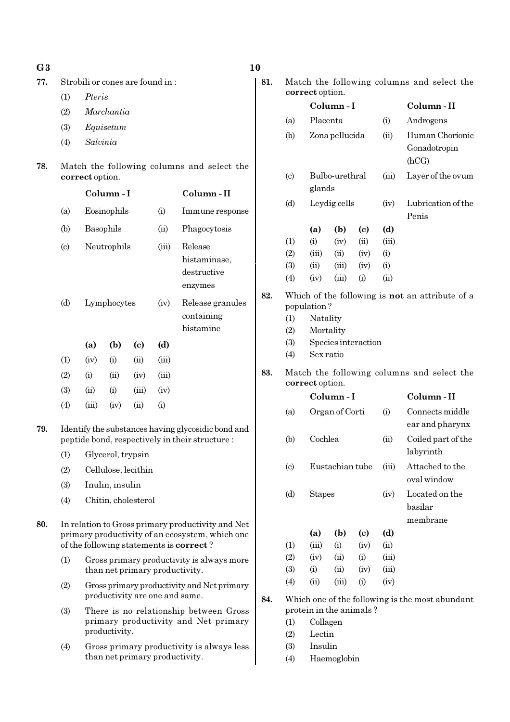| G <sub>3</sub> | 10 |
|----------------|----|
|                |    |

77. Strobili or cones are found in :

(1) Pteris

- (2) Marchantia
- (3) Equisetum
- (4) Salvinia
- 78. Match the following columns and select the correct option.

|                           |       | Column-I    |                            | Column-II |                                                   |
|---------------------------|-------|-------------|----------------------------|-----------|---------------------------------------------------|
| (a)                       |       | Eosinophils |                            | (i)       | Immune response                                   |
| (b)                       |       | Basophils   |                            |           | Phagocytosis                                      |
| $\left( \text{c} \right)$ |       | Neutrophils |                            | (iii)     | Release<br>histaminase,<br>destructive<br>enzymes |
| (d)                       |       | Lymphocytes |                            | (iv)      | Release granules<br>containing<br>histamine       |
|                           | (a)   | (b)         | $\left( \mathrm{e}\right)$ | (d)       |                                                   |
| (1)                       | (iv)  | (i)         | (ii)                       | (iii)     |                                                   |
| (2)                       | (i)   | (ii)        | (iv)                       | (iii)     |                                                   |
| (3)                       | (ii)  | (i)         | (iii)                      | (iv)      |                                                   |
| $\left( 4\right)$         | (iii) | (iv)        | $\rm (ii)$                 | (i)       |                                                   |

- 79. Identify the substances having glycosidic bond and peptide bond, respectively in their structure :
	- (1) Glycerol, trypsin
	- (2) Cellulose, lecithin
	- (3) Inulin, insulin
	- (4) Chitin, cholesterol
- 80. In relation to Gross primary productivity and Net primary productivity of an ecosystem, which one of the following statements is correct ?
	- (1) Gross primary productivity is always more than net primary productivity.
	- (2) Gross primary productivity and Net primary productivity are one and same.
	- (3) There is no relationship between Gross primary productivity and Net primary productivity.
	- (4) Gross primary productivity is always less than net primary productivity.

81. Match the following columns and select the correct option.

|     |                             | correct option.                                               |                |                     |                                       |                                                        |
|-----|-----------------------------|---------------------------------------------------------------|----------------|---------------------|---------------------------------------|--------------------------------------------------------|
|     |                             | Column-I                                                      |                |                     |                                       | Column-II                                              |
|     | (a)                         |                                                               | Placenta       |                     | (i)                                   | Androgens                                              |
|     | (b)                         |                                                               | Zona pellucida |                     | (ii)                                  | Human Chorionic<br>Gonadotropin<br>(hCG)               |
|     | $\left( \mathrm{c} \right)$ | glands                                                        | Bulbo-urethral |                     | (iii)                                 | Layer of the ovum                                      |
|     | (d)                         |                                                               | Leydig cells   |                     | (iv)                                  | Lubrication of the<br>Penis                            |
|     |                             | (a)                                                           | (b)            | (c)                 | (d)                                   |                                                        |
|     | (1)                         | (i)                                                           | (iv)           | (ii)                | (iii)                                 |                                                        |
|     | (2)                         | (iii)                                                         | (ii)           | (iv)                | (i)                                   |                                                        |
|     | (3)                         | (ii)                                                          | (iii)          | (iv)                | (i)                                   |                                                        |
|     | (4)                         | (iv)                                                          | (iii)          | (i)                 | (ii)                                  |                                                        |
| 82. | (1)<br>(2)<br>(3)<br>(4)    | population?<br>Natality<br>Mortality<br>Sex ratio             |                | Species interaction |                                       | Which of the following is <b>not</b> an attribute of a |
| 83. |                             | Match the following columns and select the<br>correct option. |                |                     |                                       |                                                        |
|     |                             |                                                               | Column-I       |                     |                                       | Column-II                                              |
|     | (a)                         |                                                               | Organ of Corti |                     | (i)                                   | Connects middle<br>ear and pharynx                     |
|     | (b)                         | Cochlea                                                       |                |                     | (ii)                                  | Coiled part of the<br>labyrinth                        |
|     | $\left( \mathrm{c} \right)$ | Eustachian tube                                               |                |                     | (iii)                                 | Attached to the<br>oval window                         |
|     | (d)                         | <b>Stapes</b>                                                 |                | (iv)                | Located on the<br>basilar<br>membrane |                                                        |
|     |                             | (a)                                                           | (b)            | (c)                 | (d)                                   |                                                        |
|     | (1)                         | (iii)                                                         | (i)            | (iv)                | (ii)                                  |                                                        |
|     | (2)                         | (iv)                                                          | (ii)           | (i)                 | (iii)                                 |                                                        |
|     | (3)                         | (i)                                                           | (ii)           | (iv)                | (iii)                                 |                                                        |
|     | (4)                         | (ii)                                                          | (iii)          | (i)                 | (iv)                                  |                                                        |
| 84. | (1)                         | protein in the animals?<br>Collagen                           |                |                     |                                       | Which one of the following is the most abundant        |

- (2) Lectin
- (3) Insulin
- (4) Haemoglobin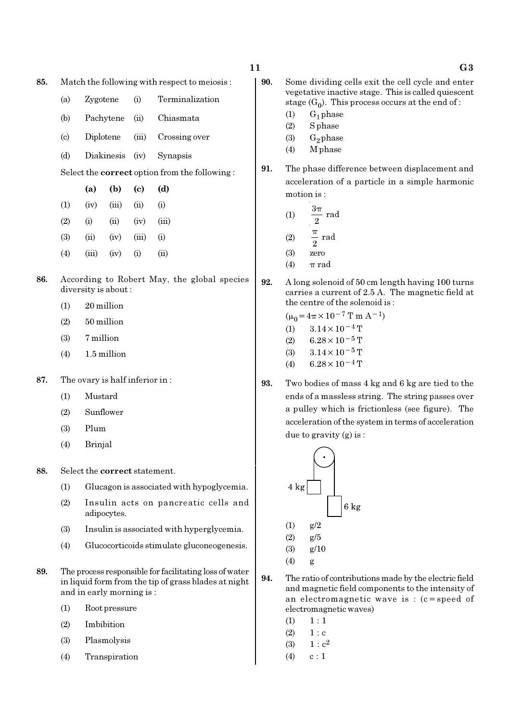- 85. Match the following with respect to meiosis :
	- (a) Zygotene (i) Terminalization
	- (b) Pachytene (ii) Chiasmata
	- (c) Diplotene (iii) Crossing over
	- (d) Diakinesis (iv) Synapsis

Select the correct option from the following :

|                   | (a)   | (b)   | (c)       | (d)      |
|-------------------|-------|-------|-----------|----------|
| $\left(1\right)$  | (iv)  | (iii) | (ii)      | $\rm(i)$ |
| (2)               | (i)   | (ii)  | (iv)      | (iii)    |
| (3)               | (ii)  | (iv)  | (iii)     | $\rm(i)$ |
| $\left( 4\right)$ | (iii) | (iv)  | $\rm (i)$ | (ii)     |

- 86. According to Robert May, the global species diversity is about :
	- (1) 20 million
	- (2) 50 million
	- (3) 7 million
	- $(4)$  1.5 million
- 87. The ovary is half inferior in :
	- (1) Mustard
	- (2) Sunflower
	- (3) Plum
	- (4) Brinjal
- 88. Select the correct statement.
	- (1) Glucagon is associated with hypoglycemia.
	- (2) Insulin acts on pancreatic cells and adipocytes.
	- (3) Insulin is associated with hyperglycemia.
	- (4) Glucocorticoids stimulate gluconeogenesis.
- 89. The process responsible for facilitating loss of water in liquid form from the tip of grass blades at night and in early morning is :
	- (1) Root pressure
	- (2) Imbibition
	- (3) Plasmolysis
	- (4) Transpiration
- 11 G3 90. Some dividing cells exit the cell cycle and enter vegetative inactive stage. This is called quiescent stage  $(G_0)$ . This process occurs at the end of :  $(1)$  G<sub>1</sub> phase
	- (2) S phase
	- (3)  $G_2$  phase
	- (4) M phase
	- 91. The phase difference between displacement and acceleration of a particle in a simple harmonic motion is :
		- $(1)$  $\frac{2^{\pi}}{2}$  rad π (2)  $\frac{\pi}{2}$  rad π
		- (3) zero
		- (4)  $\pi$  rad
	- 92. A long solenoid of 50 cm length having 100 turns carries a current of 2.5 A. The magnetic field at the centre of the solenoid is :

 $(\mu_0 = 4\pi \times 10^{-7} \text{ T m A}^{-1})$ (1)  $3.14 \times 10^{-4}$  T (2) 6.28 × 10<sup>-5</sup> T (3)  $3.14 \times 10^{-5}$  T

- (4) 6.28 $\times$ 10<sup>-4</sup> T
- 93. Two bodies of mass 4 kg and 6 kg are tied to the ends of a massless string. The string passes over a pulley which is frictionless (see figure). The acceleration of the system in terms of acceleration due to gravity (g) is :



- 94. The ratio of contributions made by the electric field and magnetic field components to the intensity of an electromagnetic wave is : (c=speed of electromagnetic waves)
	- $(1) \quad 1 : 1$
	- $(2) 1 : c$
	- (3)  $1 : c^2$
	- $(4)$  c : 1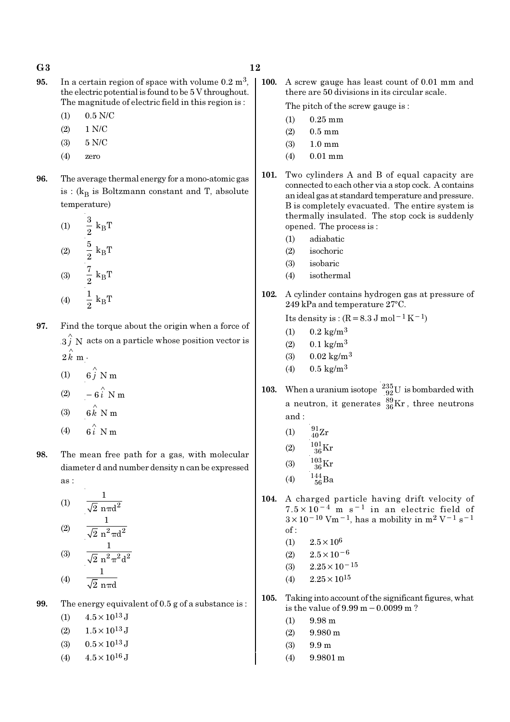- 95. In a certain region of space with volume  $0.2 \text{ m}^3$ , the electric potential is found to be 5 V throughout. The magnitude of electric field in this region is :
	- (1) 0.5 N/C
	- (2) 1 N/C
	- (3) 5 N/C
	- (4) zero
- 96. The average thermal energy for a mono-atomic gas is : ( $k_B$  is Boltzmann constant and T, absolute temperature)
	- (1)  $\frac{3}{8}$  k<sub>B</sub>  $\frac{3}{2}$  k<sub>B</sub>T  $(2)$   $\frac{3}{8}$  k<sub>B</sub>  $\frac{5}{2}$  k<sub>B</sub>T (3)  $\frac{\cdot}{2}$  k<sub>B</sub>  $\frac{7}{2} k_B T$ (4)  $-\frac{1}{9}k_B$  $\frac{1}{2} k_B T$
- 97. Find the torque about the origin when a force of  $\overset{\wedge}{3}$  N acts on a particle whose position vector is  $2 \hat{k}$  m  $\cdot$ 
	- (1)  $6\hat{j}$  N m
	- (2)  $-6\hat{i}$  N m
	- (3)  $6 \stackrel{\wedge}{k}$  N m
	- $(4)$ ∧
- 98. The mean free path for a gas, with molecular diameter d and number density n can be expressed as :

 $(1)$   $\frac{1}{\sqrt{2}}$   $\frac{1}{2}$ 1  $\overline{2}$  nπd  $(2)$ 1  $\overline{2}$  n $^2$ πd  $(3)$ 1  $\overline{2}$  n<sup>2</sup> $\pi^2$ d 1

$$
(4) \qquad \overline{\sqrt{2} \text{ n} \pi d}
$$

99. The energy equivalent of 0.5 g of a substance is :

(1)  $4.5 \times 10^{13}$  J

- (2)  $1.5 \times 10^{13}$  J
- (3)  $0.5 \times 10^{13}$  J
- (4)  $4.5 \times 10^{16}$  J

100. A screw gauge has least count of 0.01 mm and there are 50 divisions in its circular scale.

The pitch of the screw gauge is :

- (1) 0.25 mm
- (2) 0.5 mm
- (3) 1.0 mm
- (4) 0.01 mm
- 101. Two cylinders A and B of equal capacity are connected to each other via a stop cock. A contains an ideal gas at standard temperature and pressure. B is completely evacuated. The entire system is thermally insulated. The stop cock is suddenly opened. The process is :
	- (1) adiabatic
	- (2) isochoric
	- (3) isobaric
	- (4) isothermal
- 102. A cylinder contains hydrogen gas at pressure of  $249$  kPa and temperature  $27^{\circ}$ C.

Its density is :  $(R=8.3 J \text{ mol}^{-1} \text{K}^{-1})$ 

- (1)  $0.2 \text{ kg/m}^3$
- $(2)$  0.1 kg/m<sup>3</sup>
- (3)  $0.02 \text{ kg/m}^3$
- (4)  $0.5 \text{ kg/m}^3$
- 103. When a uranium isotope  $\frac{235}{92}U$  is bombarded with a neutron, it generates  $^{89}_{36}\text{Kr}$  , three neutrons and :
	- (1)  $\frac{91}{40}Zr$
	- (2)  $\frac{101}{36} \text{Kr}$
	- (3)  $\frac{103}{36}$ Kr
	-
	- (4)  $\frac{144}{56}Ba$
- 104. A charged particle having drift velocity of  $7.5 \times 10^{-4}$  m s<sup>-1</sup> in an electric field of  $3 \times 10^{-10}$  Vm<sup>-1</sup>, has a mobility in m<sup>2</sup> V<sup>-1</sup> s<sup>-1</sup> of :
	- (1)  $2.5 \times 10^6$
	- $(2)$  2.5×10<sup>-6</sup>
	- (3)  $2.25 \times 10^{-15}$
	- $(4)$  2.25  $\times$  10<sup>15</sup>
- 105. Taking into account of the significant figures, what is the value of 9.99 m−0.0099 m ?
	- (1) 9.98 m
	- $(2)$  9.980 m
	- $(3)$  9.9 m
	- (4) 9.9801 m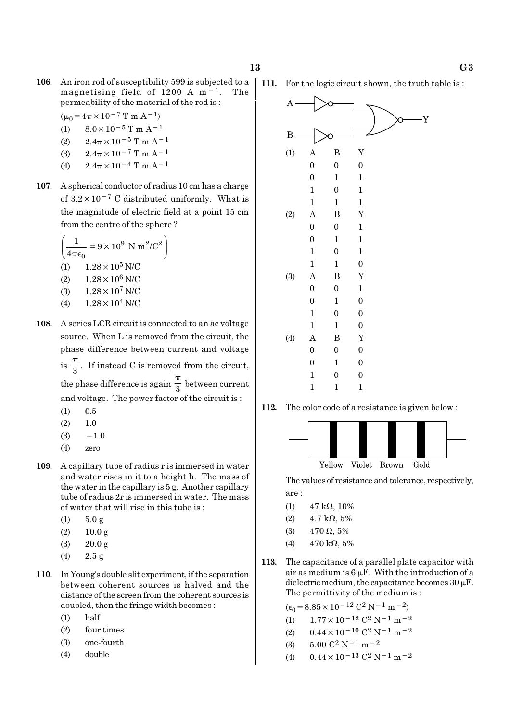106. An iron rod of susceptibility 599 is subjected to a magnetising field of 1200 A m−1. The permeability of the material of the rod is :

$$
(\mu_0 = 4\pi \times 10^{-7} \text{ T m A}^{-1})
$$

- (1)  $8.0 \times 10^{-5}$  T m A<sup>-1</sup>
- (2)  $2.4\pi \times 10^{-5}$  T m A<sup>-1</sup>
- (3)  $2.4\pi \times 10^{-7}$  T m A<sup>-1</sup>
- (4)  $2.4\pi \times 10^{-4}$  T m A<sup>-1</sup>
- 107. A spherical conductor of radius 10 cm has a charge of  $3.2 \times 10^{-7}$  C distributed uniformly. What is the magnitude of electric field at a point 15 cm from the centre of the sphere ?

$$
\left(\frac{1}{4\pi\epsilon_0} = 9 \times 10^9 \text{ N m}^2/\text{C}^2\right)
$$
  
(1) 1.28 × 10<sup>5</sup> N/C  
(2) 1.28 × 10<sup>6</sup> N/C  
(3) 1.28 × 10<sup>7</sup> N/C

- (4)  $1.28 \times 10^4$  N/C
- 108. A series LCR circuit is connected to an ac voltage source. When L is removed from the circuit, the phase difference between current and voltage  $is \frac{1}{3}$ π . If instead C is removed from the circuit, the phase difference is again  $\frac{1}{3}$ π between current and voltage. The power factor of the circuit is :
	- $(1)$  0.5
	- $(2)$  1.0
	- $(3) -1.0$
	- (4) zero
- 109. A capillary tube of radius r is immersed in water and water rises in it to a height h. The mass of the water in the capillary is 5 g. Another capillary tube of radius 2r is immersed in water. The mass of water that will rise in this tube is :
	- $(1)$  5.0 g
	- (2) 10.0 g
	- (3) 20.0 g
	- (4) 2.5 g
- 110. In Young's double slit experiment, if the separation between coherent sources is halved and the distance of the screen from the coherent sources is doubled, then the fringe width becomes :
	- (1) half
	- (2) four times
	- (3) one-fourth
	- (4) double



112. The color code of a resistance is given below :



The values of resistance and tolerance, respectively, are :

- (1)  $47 \text{ k}\Omega$ , 10%
- (2)  $4.7 \text{ k}\Omega, 5\%$
- (3)  $470 \Omega, 5\%$
- (4)  $470 \text{ k}\Omega, 5\%$
- 113. The capacitance of a parallel plate capacitor with air as medium is  $6 \mu$ F. With the introduction of a dielectric medium, the capacitance becomes  $30 \mu$ F. The permittivity of the medium is :

$$
(\epsilon_0 = 8.85 \times 10^{-12} \, \text{C}^2 \, \text{N}^{-1} \, \text{m}^{-2})
$$

- (1)  $1.77 \times 10^{-12}$  C<sup>2</sup> N<sup>-1</sup> m<sup>-2</sup>
- (2)  $0.44 \times 10^{-10}$  C<sup>2</sup> N<sup>-1</sup> m<sup>-2</sup>
- (3)  $5.00 \text{ C}^2 \text{ N}^{-1} \text{ m}^{-2}$
- (4)  $0.44 \times 10^{-13}$  C<sup>2</sup> N<sup>-1</sup> m<sup>-2</sup>

111. For the logic circuit shown, the truth table is :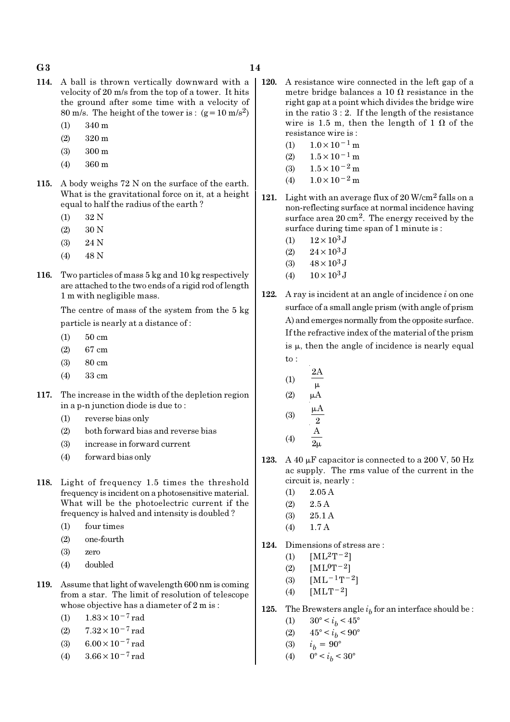#### $G3$  and  $14$

- 114. A ball is thrown vertically downward with a velocity of 20 m/s from the top of a tower. It hits the ground after some time with a velocity of 80 m/s. The height of the tower is :  $(g=10 \text{ m/s}^2)$ 
	- (1) 340 m
	- (2) 320 m
	- (3) 300 m
	- (4) 360 m
- 115. A body weighs 72 N on the surface of the earth. What is the gravitational force on it, at a height equal to half the radius of the earth ?
	- (1) 32 N
	- (2) 30 N
	- (3) 24 N
	- (4) 48 N
- 116. Two particles of mass 5 kg and 10 kg respectively are attached to the two ends of a rigid rod of length 1 m with negligible mass.

The centre of mass of the system from the 5 kg particle is nearly at a distance of :

- (1) 50 cm
- (2) 67 cm
- (3) 80 cm
- (4) 33 cm
- 117. The increase in the width of the depletion region in a p-n junction diode is due to :
	- (1) reverse bias only
	- (2) both forward bias and reverse bias
	- (3) increase in forward current
	- (4) forward bias only
- 118. Light of frequency 1.5 times the threshold frequency is incident on a photosensitive material. What will be the photoelectric current if the frequency is halved and intensity is doubled ?
	- (1) four times
	- (2) one-fourth
	- (3) zero
	- (4) doubled
- 119. Assume that light of wavelength 600 nm is coming from a star. The limit of resolution of telescope whose objective has a diameter of 2 m is :
	- (1)  $1.83 \times 10^{-7}$  rad
	- (2)  $7.32 \times 10^{-7}$  rad
	- (3) 6.00 $\times$ 10<sup>-7</sup> rad
	- (4)  $3.66 \times 10^{-7}$  rad
- 120. A resistance wire connected in the left gap of a metre bridge balances a 10  $\Omega$  resistance in the right gap at a point which divides the bridge wire in the ratio  $3:2$ . If the length of the resistance wire is 1.5 m, then the length of 1  $\Omega$  of the resistance wire is :
	- (1)  $1.0 \times 10^{-1}$  m
	- $(2)$  1.5×10<sup>-1</sup> m
	- (3)  $1.5 \times 10^{-2}$  m
	- (4)  $1.0 \times 10^{-2}$  m
- 121. Light with an average flux of  $20$  W/cm<sup>2</sup> falls on a non-reflecting surface at normal incidence having surface area 20 cm<sup>2</sup>. The energy received by the surface during time span of 1 minute is :
	- (1)  $12 \times 10^3$  J
	- (2)  $24 \times 10^3$  J
	- (3)  $48 \times 10^3$  J
	- (4)  $10 \times 10^3$  J
- 122. A ray is incident at an angle of incidence  $i$  on one surface of a small angle prism (with angle of prism A) and emerges normally from the opposite surface. If the refractive index of the material of the prism is  $\mu$ , then the angle of incidence is nearly equal to :
	- (1) 2A  $\mu$  $(2)$   $\mu$ A

$$
(3) \qquad \frac{\mu A}{2}
$$

- (4) A  $2<sub>µ</sub>$
- 123. A 40  $\mu$ F capacitor is connected to a 200 V, 50 Hz ac supply. The rms value of the current in the circuit is, nearly :
	- (1) 2.05 A
	- $(2)$  2.5 A
	- (3) 25.1 A
	- (4) 1.7 A
- 124. Dimensions of stress are :
	- (1)  $[ML^2T^{-2}]$
	- (2)  $[ML^0T^{-2}]$
	- (3)  $[ML^{-1}T^{-2}]$
	- (4)  $[MLT^{-2}]$
- **125.** The Brewsters angle  $i<sub>b</sub>$  for an interface should be :
	- (1)  $30^{\circ} < i_b < 45^{\circ}$
	- (2)  $45^{\circ} < i_b < 90^{\circ}$
	- (3)  $i_b = 90^{\circ}$
	- (4)  $0^{\circ} < i_b < 30^{\circ}$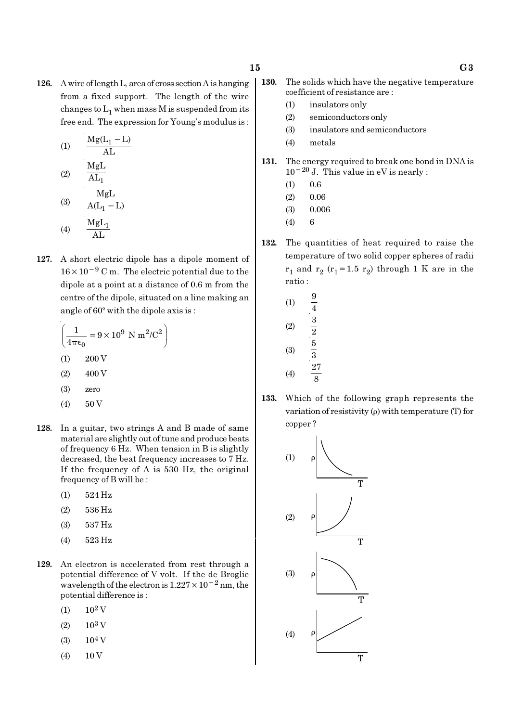126. A wire of length L, area of cross section A is hanging from a fixed support. The length of the wire changes to  $\mathrm{L}_1$  when mass M is suspended from its free end. The expression for Young's modulus is :

$$
(1) \qquad \frac{\text{Mg}(\text{L}_1 - \text{L})}{\text{AL}}
$$

$$
(2) \qquad \frac{\text{MgL}}{\text{AL}_1}
$$

$$
\text{MgL}
$$

(3) 
$$
\overline{A(L_1 - L)}
$$
  
(4) 
$$
\frac{MgL_1}{AL}
$$

127. A short electric dipole has a dipole moment of 16×10−<sup>9</sup> C m. The electric potential due to the dipole at a point at a distance of 0.6 m from the centre of the dipole, situated on a line making an angle of  $60^\circ$  with the dipole axis is :

$$
\left(\frac{1}{4\pi\epsilon_0} = 9 \times 10^9 \text{ N m}^2/\text{C}^2\right)
$$
  
(1) 200 V  
(2) 400 V  
(3) zero

- $(4)$  50 V
- 128. In a guitar, two strings A and B made of same material are slightly out of tune and produce beats of frequency 6 Hz. When tension in B is slightly decreased, the beat frequency increases to 7 Hz. If the frequency of A is 530 Hz, the original frequency of B will be :
	- (1) 524 Hz
	- (2) 536 Hz
	- (3) 537 Hz
	- (4) 523 Hz
- 129. An electron is accelerated from rest through a potential difference of V volt. If the de Broglie wavelength of the electron is  $1.227 \times 10^{-2}$  nm, the potential difference is :
	- $(1)$  10<sup>2</sup> V
	- $(2)$  10<sup>3</sup> V
	- $(3)$  10<sup>4</sup> V
	- $(4)$  10 V
- - 130. The solids which have the negative temperature coefficient of resistance are :
		- (1) insulators only
		- (2) semiconductors only
		- (3) insulators and semiconductors
		- (4) metals
	- 131. The energy required to break one bond in DNA is  $10^{-20}$  J. This value in eV is nearly :
		- $(1)$  0.6
		- $(2)$  0.06
		- (3) 0.006
		- (4) 6
	- 132. The quantities of heat required to raise the temperature of two solid copper spheres of radii  $r_1$  and  $r_2$  ( $r_1$ =1.5  $r_2$ ) through 1 K are in the ratio :
		- (1)  $\frac{9}{7}$ 4 (2)  $\frac{3}{2}$ (3) 5 3 (4) 27 8
	- 133. Which of the following graph represents the variation of resistivity (ρ) with temperature (T) for copper ?

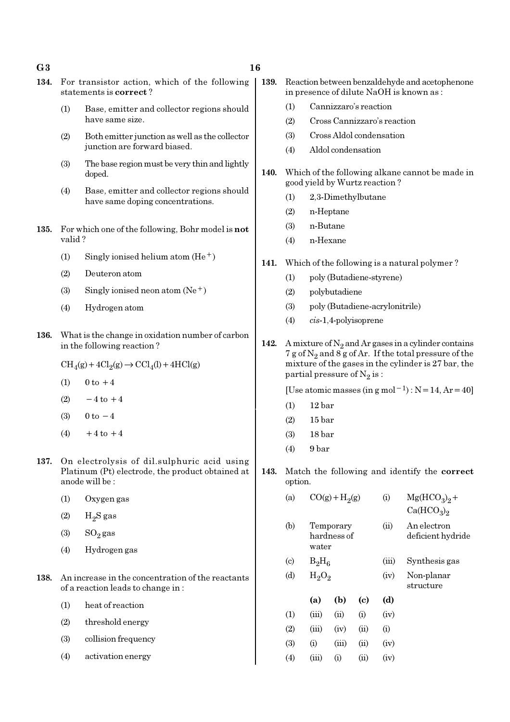$G3$  and  $16$ 

- 134. For transistor action, which of the following statements is correct ?
	- (1) Base, emitter and collector regions should have same size.
	- (2) Both emitter junction as well as the collector junction are forward biased.
	- (3) The base region must be very thin and lightly doped.
	- (4) Base, emitter and collector regions should have same doping concentrations.
- 135. For which one of the following, Bohr model is not valid ?
	- (1) Singly ionised helium atom  $(He<sup>+</sup>)$
	- (2) Deuteron atom
	- (3) Singly ionised neon atom  $(Ne^+)$
	- (4) Hydrogen atom
- 136. What is the change in oxidation number of carbon in the following reaction ?
	- $\text{CH}_4(g) + 4\text{Cl}_2(g) \rightarrow \text{CCl}_4(l) + 4\text{HCl}(g)$
	- (1)  $0 \text{ to } +4$
	- (2)  $-4$  to  $+4$
	- (3)  $0 \text{ to } -4$
	- $(4)$  +4 to +4
- 137. On electrolysis of dil.sulphuric acid using Platinum (Pt) electrode, the product obtained at anode will be :
	- (1) Oxygen gas
	- $(2)$  H<sub>2</sub>S gas
	- $(3)$  SO<sub>2</sub> gas
	- (4) Hydrogen gas
- 138. An increase in the concentration of the reactants of a reaction leads to change in :
	- (1) heat of reaction
	- (2) threshold energy
	- (3) collision frequency
	- (4) activation energy
- 139. Reaction between benzaldehyde and acetophenone in presence of dilute NaOH is known as :
	- (1) Cannizzaro's reaction
	- (2) Cross Cannizzaro's reaction
	- (3) Cross Aldol condensation
	- (4) Aldol condensation
- 140. Which of the following alkane cannot be made in good yield by Wurtz reaction ?
	- (1) 2,3-Dimethylbutane
	- (2) n-Heptane
	- (3) n-Butane
	- (4) n-Hexane
- 141. Which of the following is a natural polymer ?
	- (1) poly (Butadiene-styrene)
	- (2) polybutadiene
	- (3) poly (Butadiene-acrylonitrile)
	- (4) cis-1,4-polyisoprene
- 142. A mixture of  $N_2$  and Ar gases in a cylinder contains 7 g of  $\mathrm{N}_2$  and 8 g of Ar. If the total pressure of the mixture of the gases in the cylinder is 27 bar, the partial pressure of  $\mathrm{N}_2 \, \mathrm{is}$  :

[Use atomic masses (in g mol<sup>-1</sup>) : N=14, Ar=40]

- (1) 12 bar
- (2) 15 bar
- (3) 18 bar
- (4) 9 bar
- 143. Match the following and identify the correct option.

| (a) | $CO(g) + H2(g)$                   | $\rm(i)$   | $Mg(HCO3)2 +$<br>Ca(HCO <sub>3</sub> ) <sub>2</sub> |
|-----|-----------------------------------|------------|-----------------------------------------------------|
| (b) | Temporary<br>hardness of<br>water | $\rm (11)$ | An electron<br>deficient hydride                    |

- (c)  $B_2H_6$
- (d)  $H_2O_2$

|     | (a)   | (b)       | (c)      | (d)  |
|-----|-------|-----------|----------|------|
| (1) | (iii) | (ii)      | $\rm(i)$ | (iv) |
| (2) | (iii) | (iv)      | (ii)     | (i)  |
| (3) | (i)   | (iii)     | (ii)     | (iv) |
| (4) | (iii) | $\rm (i)$ | (ii)     | (iv) |

- (iii) Synthesis gas (iv) Non-planar
	- structure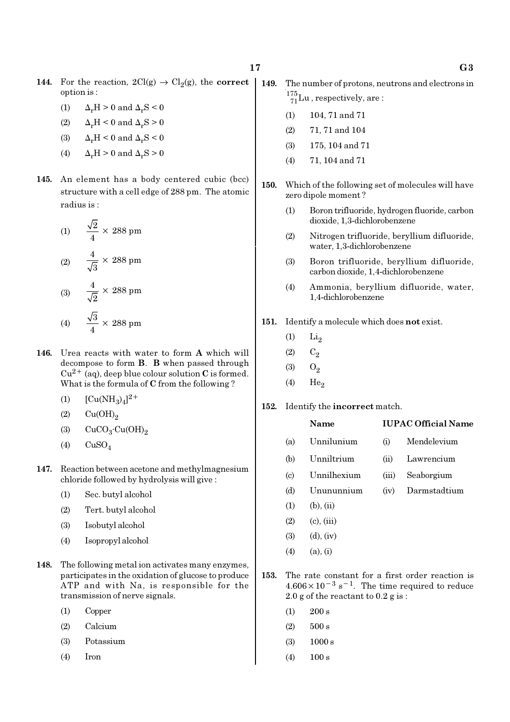- 144. For the reaction,  $2Cl(g) \rightarrow Cl_2(g)$ , the correct option is :
	- (1)  $\Delta_r H > 0$  and  $\Delta_r S < 0$
	- (2)  $\Delta_r H \leq 0$  and  $\Delta_r S \geq 0$
	- (3)  $\Delta_r H \leq 0$  and  $\Delta_r S \leq 0$
	- (4)  $\Delta_r H > 0$  and  $\Delta_r S > 0$
- 145. An element has a body centered cubic (bcc) structure with a cell edge of 288 pm. The atomic radius is :

(1) 
$$
\frac{\sqrt{2}}{4} \times 288 \text{ pm}
$$
  
(2) 
$$
\frac{4}{\sqrt{3}} \times 288 \text{ pm}
$$
  
(3) 
$$
\frac{4}{\sqrt{2}} \times 288 \text{ pm}
$$
  
(4) 
$$
\frac{\sqrt{3}}{4} \times 288 \text{ pm}
$$

- 146. Urea reacts with water to form A which will decompose to form B. B when passed through  $Cu^{2+}$  (aq), deep blue colour solution C is formed. What is the formula of C from the following ?
	- (1)  $[Cu(NH_3)_4]^{2+}$
	- $(2)$   $Cu(OH)<sub>2</sub>$
	- (3)  $CuCO<sub>3</sub>·Cu(OH)<sub>2</sub>$
	- $(4)$  CuSO<sub>4</sub>
- 147. Reaction between acetone and methylmagnesium chloride followed by hydrolysis will give :
	- (1) Sec. butyl alcohol
	- (2) Tert. butyl alcohol
	- (3) Isobutyl alcohol
	- (4) Isopropyl alcohol
- 148. The following metal ion activates many enzymes, participates in the oxidation of glucose to produce ATP and with Na, is responsible for the transmission of nerve signals.
	- (1) Copper
	- (2) Calcium
	- (3) Potassium
	- (4) Iron
- 149. The number of protons, neutrons and electrons in  $^{175}_{71}$ Lu, respectively, are:
	- (1) 104, 71 and 71
	- (2) 71, 71 and 104
	- (3) 175, 104 and 71
	- (4) 71, 104 and 71
- 150. Which of the following set of molecules will have zero dipole moment ?
	- (1) Boron trifluoride, hydrogen fluoride, carbon dioxide, 1,3-dichlorobenzene
	- (2) Nitrogen trifluoride, beryllium difluoride, water, 1,3-dichlorobenzene
	- (3) Boron trifluoride, beryllium difluoride, carbon dioxide, 1,4-dichlorobenzene
	- (4) Ammonia, beryllium difluoride, water, 1,4-dichlorobenzene
- 151. Identify a molecule which does not exist.
	- $(1)$  Li<sub>2</sub>
	- $(2)$   $C_2$
	- $(3)$   $O_2$
	- $(4)$  He<sub>2</sub>
- 152. Identify the incorrect match.

#### Name IUPAC Official Name

- (a) Unnilunium (i) Mendelevium
- (b) Unniltrium (ii) Lawrencium
- (c) Unnilhexium (iii) Seaborgium
- (d) Unununnium (iv) Darmstadtium
- $(1)$   $(b)$ ,  $(ii)$
- $(2)$   $(c)$ ,  $(iii)$
- $(3)$   $(d)$ ,  $(iv)$
- (4) (a), (i)
- 153. The rate constant for a first order reaction is  $4.606 \times 10^{-3}$  s<sup>-1</sup>. The time required to reduce 2.0 g of the reactant to  $0.2$  g is:
	- $(1)$  200 s
	- $(2)$  500 s
	- (3) 1000 s
	- (4) 100 s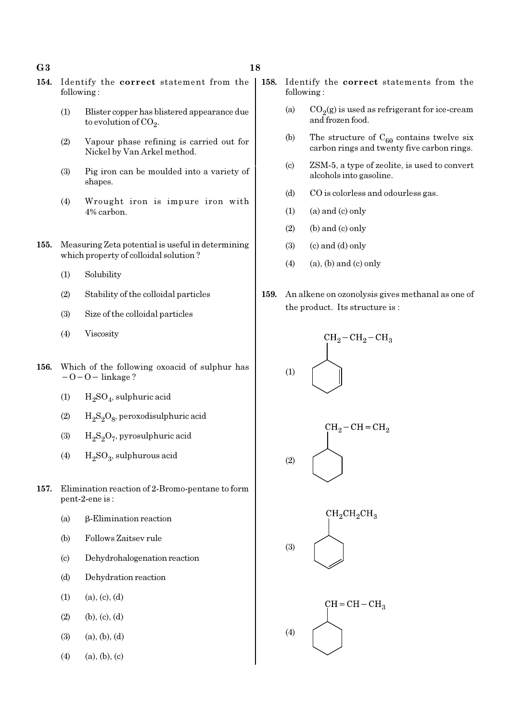#### $G3$  and  $18$

- 
- 154. Identify the correct statement from the following :
	- (1) Blister copper has blistered appearance due to evolution of CO<sub>2</sub>.
	- (2) Vapour phase refining is carried out for Nickel by Van Arkel method.
	- (3) Pig iron can be moulded into a variety of shapes.
	- (4) Wrought iron is impure iron with 4% carbon.
- 155. Measuring Zeta potential is useful in determining which property of colloidal solution ?
	- (1) Solubility
	- (2) Stability of the colloidal particles
	- (3) Size of the colloidal particles
	- (4) Viscosity
- 156. Which of the following oxoacid of sulphur has −O−O− linkage ?
	- (1)  $H_2SO_4$ , sulphuric acid
	- (2)  $H_2S_2O_8$ , peroxodisulphuric acid
	- (3)  $H_2S_2O_7$ , pyrosulphuric acid
	- (4)  $H_2SO_3$ , sulphurous acid
- 157. Elimination reaction of 2-Bromo-pentane to form pent-2-ene is :
	- (a) β-Elimination reaction
	- (b) Follows Zaitsev rule
	- (c) Dehydrohalogenation reaction
	- (d) Dehydration reaction
	- $(1)$   $(a)$ ,  $(c)$ ,  $(d)$
	- $(2)$  (b),  $(c)$ ,  $(d)$
	- $(3)$   $(a), (b), (d)$
	- $(4)$   $(a), (b), (c)$
- 158. Identify the correct statements from the following :
	- (a)  $CO_2(g)$  is used as refrigerant for ice-cream and frozen food.
	- (b) The structure of  $C_{60}$  contains twelve six carbon rings and twenty five carbon rings.
	- (c) ZSM-5, a type of zeolite, is used to convert alcohols into gasoline.
	- (d) CO is colorless and odourless gas.
	- $(1)$  (a) and  $(c)$  only
	- $(2)$  (b) and  $(c)$  only
	- $(3)$   $(c)$  and  $(d)$  only
	- $(4)$  (a), (b) and (c) only
- 159. An alkene on ozonolysis gives methanal as one of the product. Its structure is :

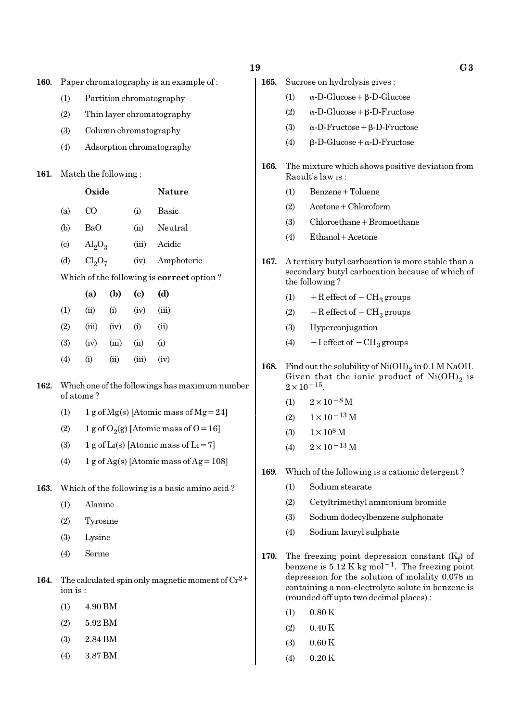|  | ۰.     |
|--|--------|
|  | ×<br>v |

- 160. Paper chromatography is an example of :
	- (1) Partition chromatography
	- (2) Thin layer chromatography
	- (3) Column chromatography
	- (4) Adsorption chromatography

#### 161. Match the following :

|                                                  | Oxide                   |      |       | Nature     |
|--------------------------------------------------|-------------------------|------|-------|------------|
| (a)                                              | CO                      |      | (i)   | Basic      |
| (b)                                              | BaO                     |      | (ii)  | Neutral    |
| $\left( \mathrm{c}\right)$                       | $\text{Al}_2\text{O}_3$ |      | (iii) | Acidic     |
| (d)                                              | $Cl_2O_7$               |      | (iv)  | Amphoteric |
| Which of the following is <b>correct</b> option? |                         |      |       |            |
|                                                  | (a)                     | (b)  | (c)   | (d)        |
| (1)                                              | (ii)                    | (i)  | (iv)  | (iii)      |
| (2)                                              | (iii)                   | (iv) | (i)   | $\rm (ii)$ |
|                                                  |                         |      |       |            |

- $(3)$   $(iv)$   $(iii)$   $(ii)$   $(i)$  $(4)$  (i) (ii) (iii) (iv)
- 162. Which one of the followings has maximum number of atoms ?
	- (1) 1 g of Mg(s) [Atomic mass of Mg = 24]
	- (2) 1 g of  $O_2(g)$  [Atomic mass of O = 16]
	- (3) 1 g of Li(s) [Atomic mass of Li = 7]
	- (4) 1 g of Ag(s) [Atomic mass of Ag =  $108$ ]
- 163. Which of the following is a basic amino acid ?
	- (1) Alanine
	- (2) Tyrosine
	- (3) Lysine
	- (4) Serine
- 164. The calculated spin only magnetic moment of  $Cr^{2+}$ ion is :
	- (1) 4.90 BM
	- (2) 5.92 BM
	- (3) 2.84 BM
	- (4) 3.87 BM
- 19 G3 165. Sucrose on hydrolysis gives :
	- (1) α-D-Glucose+β-D-Glucose
		- (2) α-D-Glucose+β-D-Fructose
		- (3) α-D-Fructose+β-D-Fructose
		- (4)  $β-D-Glucose + α-D-Fructose$
	- 166. The mixture which shows positive deviation from Raoult's law is :
		- (1) Benzene+Toluene
		- (2) Acetone+Chloroform
		- (3) Chloroethane+Bromoethane
		- (4) Ethanol+Acetone
	- 167. A tertiary butyl carbocation is more stable than a secondary butyl carbocation because of which of the following ?
		- (1) + R effect of  $-CH_3$  groups
		- (2)  $-$  R effect of  $-$  CH<sub>3</sub> groups
		- (3) Hyperconjugation
		- (4)  $-I$  effect of  $-CH_3$  groups
	- **168.** Find out the solubility of  $Ni(OH)_2$  in 0.1 M NaOH. Given that the ionic product of  $\mathrm{Ni(OH)}_{2}$  is  $2 \times 10^{-15}$ .
		- (1)  $2 \times 10^{-8}$  M
		- (2)  $1 \times 10^{-13}$  M
		- (3)  $1 \times 10^8$  M
		- (4)  $2 \times 10^{-13}$  M
	- 169. Which of the following is a cationic detergent ?
		- (1) Sodium stearate
		- (2) Cetyltrimethyl ammonium bromide
		- (3) Sodium dodecylbenzene sulphonate
		- (4) Sodium lauryl sulphate
	- 170. The freezing point depression constant  $(K_f)$  of benzene is  $5.12 \text{ K}$  kg mol<sup>-1</sup>. The freezing point depression for the solution of molality 0.078 m containing a non-electrolyte solute in benzene is (rounded off upto two decimal places) :
		- $(1)$  0.80 K
		- $(2)$  0.40 K
		- (3) 0.60 K
		- $(4)$  0.20 K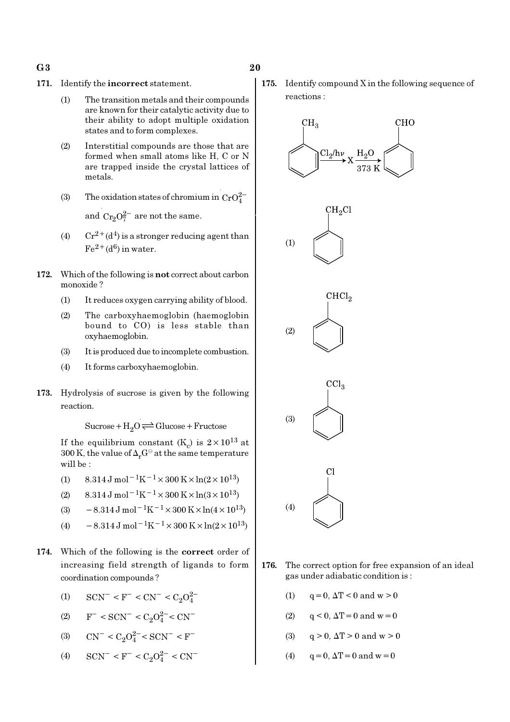- 171. Identify the incorrect statement.
	- (1) The transition metals and their compounds are known for their catalytic activity due to their ability to adopt multiple oxidation states and to form complexes.
	- (2) Interstitial compounds are those that are formed when small atoms like H, C or N are trapped inside the crystal lattices of metals.
	- (3) The oxidation states of chromium in  $CrO_4^{2-}$ and  $Cr_2O_7^{2-}$  are not the same.
	- (4)  $Cr^{2+}(d^4)$  is a stronger reducing agent than  $Fe^{2+}(d^6)$  in water.
- 172. Which of the following is not correct about carbon monoxide ?
	- (1) It reduces oxygen carrying ability of blood.
	- (2) The carboxyhaemoglobin (haemoglobin bound to CO) is less stable than oxyhaemoglobin.
	- (3) It is produced due to incomplete combustion.
	- (4) It forms carboxyhaemoglobin.
- 173. Hydrolysis of sucrose is given by the following reaction.

 $Sucrose+H_2O \rightleftharpoons Glucose+Fructose$ 

If the equilibrium constant  $(K_c)$  is  $2 \times 10^{13}$  at 300 K, the value of  $\Delta_r G^\ominus$  at the same temperature will be :

- (1) 8.314 J mol<sup>-1</sup>K<sup>-1</sup> × 300 K × ln(2 × 10<sup>13</sup>)
- (2)  $8.314 \text{ J mol}^{-1}\text{K}^{-1} \times 300 \text{ K} \times \ln(3 \times 10^{13})$
- (3)  $-8.314 \,\mathrm{J} \,\mathrm{mol}^{-1} \mathrm{K}^{-1} \times 300 \,\mathrm{K} \times \ln(4 \times 10^{13})$
- (4)  $-8.314 \,\mathrm{J} \,\mathrm{mol}^{-1} \mathrm{K}^{-1} \times 300 \,\mathrm{K} \times \ln(2 \times 10^{13})$
- 174. Which of the following is the correct order of increasing field strength of ligands to form coordination compounds ?
	- (1)  $\text{SCN}^-$  < F<sup>-</sup> < CN<sup>-</sup> < C<sub>2</sub>O<sub>4</sub><sup>2</sup>
	- (2)  $F^-$  < SCN<sup>-</sup> < C<sub>2</sub>O<sup>2</sup><sup>-</sup> < CN<sup>-</sup>
	- (3)  $CN^- < C_2O_4^{2-} < SCN^- < F^-$
	- (4)  $\text{SCN}^-$  <  $\text{F}^-$  <  $\text{C}_2\text{O}_4^{2-}$  <  $\text{CN}^-$

175. Identify compound X in the following sequence of reactions :



- 176. The correct option for free expansion of an ideal gas under adiabatic condition is :
	- (1)  $q = 0, \Delta T < 0$  and  $w > 0$
	- (2)  $q < 0$ ,  $\Delta T = 0$  and  $w = 0$
	- (3)  $q > 0$ ,  $\Delta T > 0$  and  $w > 0$
	- (4)  $q = 0$ ,  $\Delta T = 0$  and  $w = 0$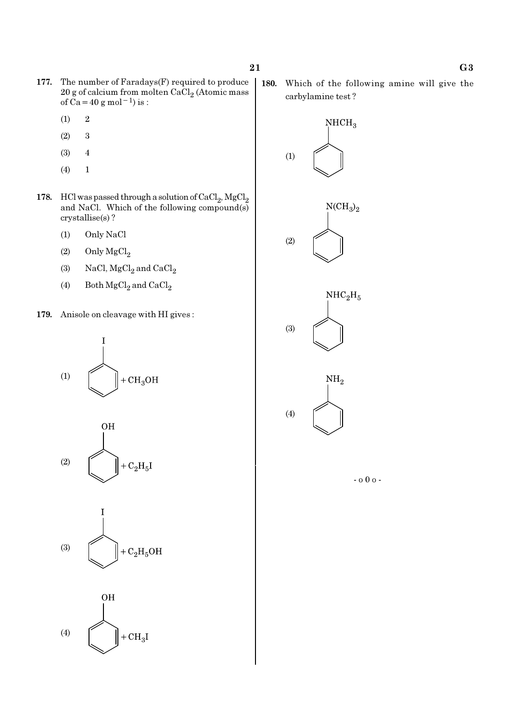- 177. The number of Faradays(F) required to produce  $20$  g of calcium from molten CaCl $_2$  (Atomic mass of  $\tilde{Ca}$  = 40 g mol<sup>-1</sup>) is :
	- $(1)$  2
	- (2) 3
	- (3) 4
	- (4) 1
- 178. HCl was passed through a solution of  $\mathrm{CaCl}_{2}$ ,  $\mathrm{MgCl}_{2}$ and NaCl. Which of the following compound(s) crystallise(s) ?
	- (1) Only NaCl
	- (2) Only  $MgCl<sub>2</sub>$
	- (3) NaCl,  $MgCl<sub>2</sub>$  and  $CaCl<sub>2</sub>$
	- (4) Both  $\mathrm{MgCl}_2$  and  $\mathrm{CaCl}_2$
- 179. Anisole on cleavage with HI gives :

$$
(1)
$$







180. Which of the following amine will give the carbylamine test ?

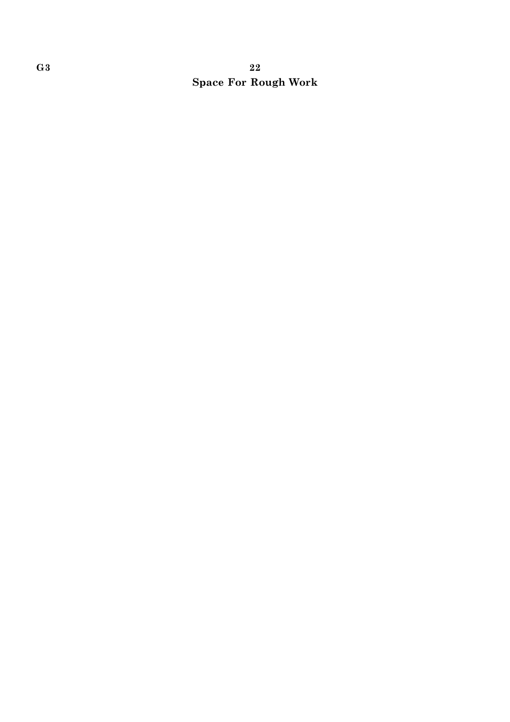# $\rm G3$  and  $\rm 22$ Space For Rough Work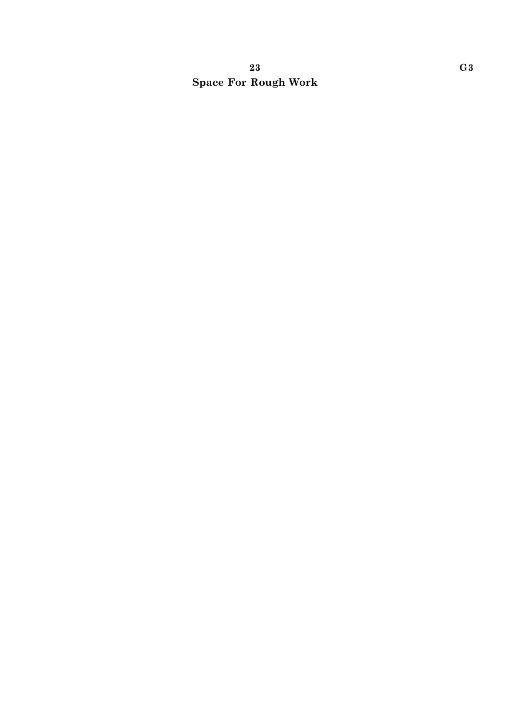# 23 G3 Space For Rough Work